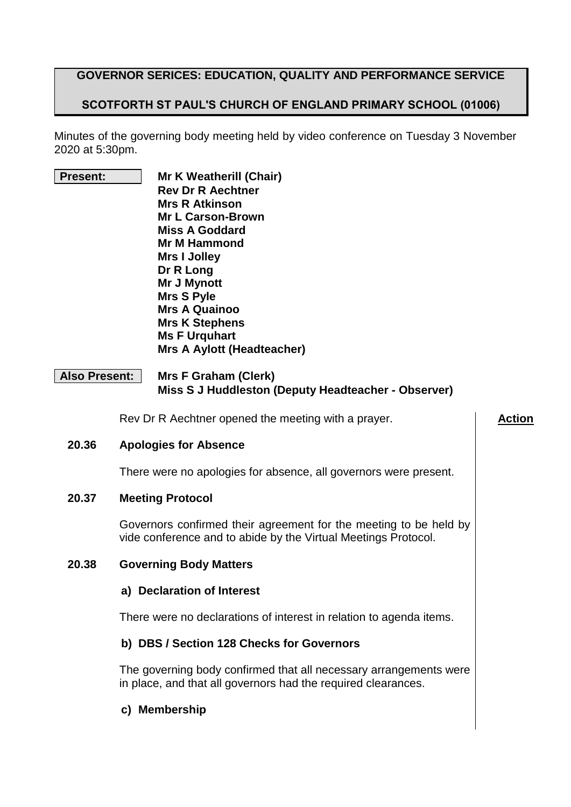#### **GOVERNOR SERICES: EDUCATION, QUALITY AND PERFORMANCE SERVICE**

## **SCOTFORTH ST PAUL'S CHURCH OF ENGLAND PRIMARY SCHOOL (01006)**

Minutes of the governing body meeting held by video conference on Tuesday 3 November 2020 at 5:30pm.

- 
- **Present: Mr K Weatherill (Chair) Rev Dr R Aechtner Mrs R Atkinson Mr L Carson-Brown Miss A Goddard Mr M Hammond Mrs I Jolley Dr R Long Mr J Mynott Mrs S Pyle Mrs A Quainoo Mrs K Stephens Ms F Urquhart Mrs A Aylott (Headteacher)**

#### **Also Present: Mrs F Graham (Clerk) Miss S J Huddleston (Deputy Headteacher - Observer)**

Rev Dr R Aechtner opened the meeting with a prayer. **Action** 

#### **20.36 Apologies for Absence**

There were no apologies for absence, all governors were present.

#### **20.37 Meeting Protocol**

Governors confirmed their agreement for the meeting to be held by vide conference and to abide by the Virtual Meetings Protocol.

#### **20.38 Governing Body Matters**

#### **a) Declaration of Interest**

There were no declarations of interest in relation to agenda items.

#### **b) DBS / Section 128 Checks for Governors**

The governing body confirmed that all necessary arrangements were in place, and that all governors had the required clearances.

#### **c) Membership**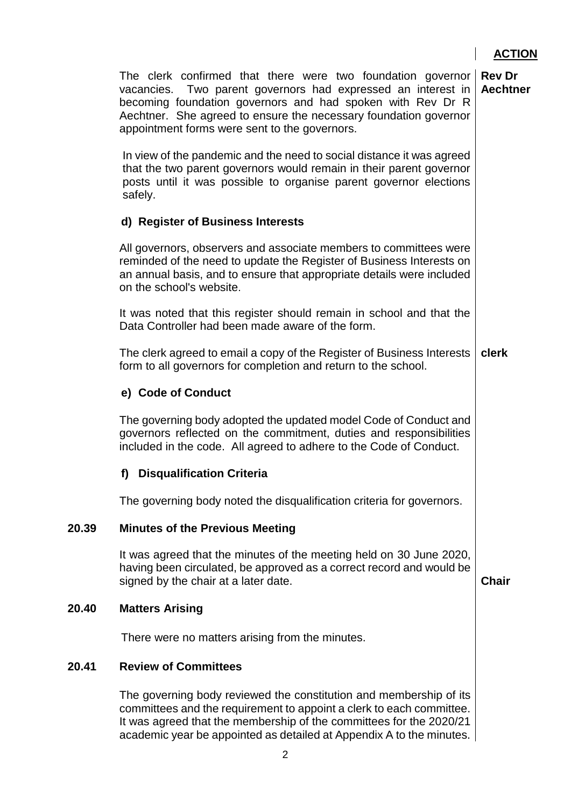|       | The clerk confirmed that there were two foundation governor<br>vacancies. Two parent governors had expressed an interest in<br>becoming foundation governors and had spoken with Rev Dr R<br>Aechtner. She agreed to ensure the necessary foundation governor<br>appointment forms were sent to the governors. | <b>Rev Dr</b><br>Aechtner |
|-------|----------------------------------------------------------------------------------------------------------------------------------------------------------------------------------------------------------------------------------------------------------------------------------------------------------------|---------------------------|
|       | In view of the pandemic and the need to social distance it was agreed<br>that the two parent governors would remain in their parent governor<br>posts until it was possible to organise parent governor elections<br>safely.                                                                                   |                           |
|       | d) Register of Business Interests                                                                                                                                                                                                                                                                              |                           |
|       | All governors, observers and associate members to committees were<br>reminded of the need to update the Register of Business Interests on<br>an annual basis, and to ensure that appropriate details were included<br>on the school's website.                                                                 |                           |
|       | It was noted that this register should remain in school and that the<br>Data Controller had been made aware of the form.                                                                                                                                                                                       |                           |
|       | The clerk agreed to email a copy of the Register of Business Interests<br>form to all governors for completion and return to the school.                                                                                                                                                                       | clerk                     |
|       | e) Code of Conduct                                                                                                                                                                                                                                                                                             |                           |
|       | The governing body adopted the updated model Code of Conduct and<br>governors reflected on the commitment, duties and responsibilities<br>included in the code. All agreed to adhere to the Code of Conduct.                                                                                                   |                           |
|       | <b>Disqualification Criteria</b><br>f)                                                                                                                                                                                                                                                                         |                           |
|       | The governing body noted the disqualification criteria for governors.                                                                                                                                                                                                                                          |                           |
| 20.39 | <b>Minutes of the Previous Meeting</b>                                                                                                                                                                                                                                                                         |                           |
|       | It was agreed that the minutes of the meeting held on 30 June 2020,<br>having been circulated, be approved as a correct record and would be<br>signed by the chair at a later date.                                                                                                                            | <b>Chair</b>              |
| 20.40 | <b>Matters Arising</b>                                                                                                                                                                                                                                                                                         |                           |
|       | There were no matters arising from the minutes.                                                                                                                                                                                                                                                                |                           |
| 20.41 | <b>Review of Committees</b>                                                                                                                                                                                                                                                                                    |                           |
|       | The governing body reviewed the constitution and membership of its<br>committees and the requirement to appoint a clerk to each committee.<br>It was agreed that the membership of the committees for the 2020/21<br>academic year be appointed as detailed at Appendix A to the minutes.                      |                           |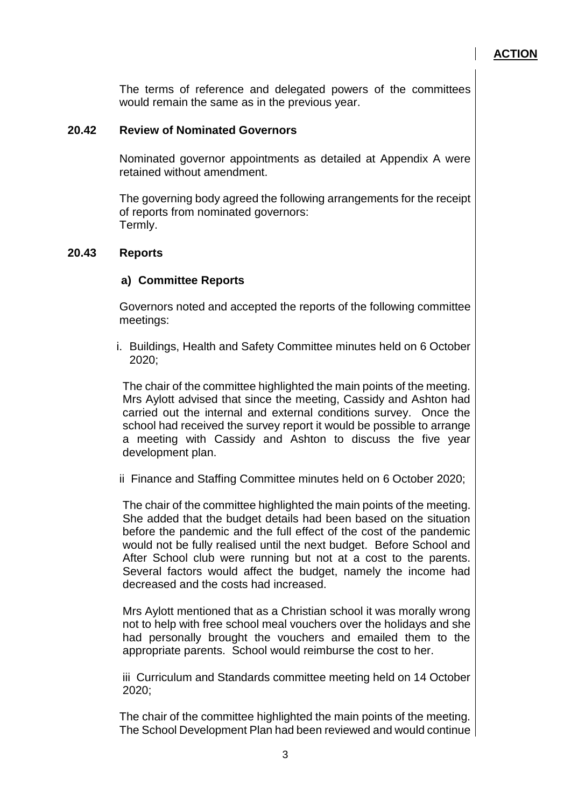The terms of reference and delegated powers of the committees would remain the same as in the previous year.

#### **20.42 Review of Nominated Governors**

Nominated governor appointments as detailed at Appendix A were retained without amendment.

The governing body agreed the following arrangements for the receipt of reports from nominated governors: Termly.

#### **20.43 Reports**

#### **a) Committee Reports**

Governors noted and accepted the reports of the following committee meetings:

i. Buildings, Health and Safety Committee minutes held on 6 October 2020;

The chair of the committee highlighted the main points of the meeting. Mrs Aylott advised that since the meeting, Cassidy and Ashton had carried out the internal and external conditions survey. Once the school had received the survey report it would be possible to arrange a meeting with Cassidy and Ashton to discuss the five year development plan.

ii Finance and Staffing Committee minutes held on 6 October 2020;

The chair of the committee highlighted the main points of the meeting. She added that the budget details had been based on the situation before the pandemic and the full effect of the cost of the pandemic would not be fully realised until the next budget. Before School and After School club were running but not at a cost to the parents. Several factors would affect the budget, namely the income had decreased and the costs had increased.

Mrs Aylott mentioned that as a Christian school it was morally wrong not to help with free school meal vouchers over the holidays and she had personally brought the vouchers and emailed them to the appropriate parents. School would reimburse the cost to her.

iii Curriculum and Standards committee meeting held on 14 October 2020;

The chair of the committee highlighted the main points of the meeting. The School Development Plan had been reviewed and would continue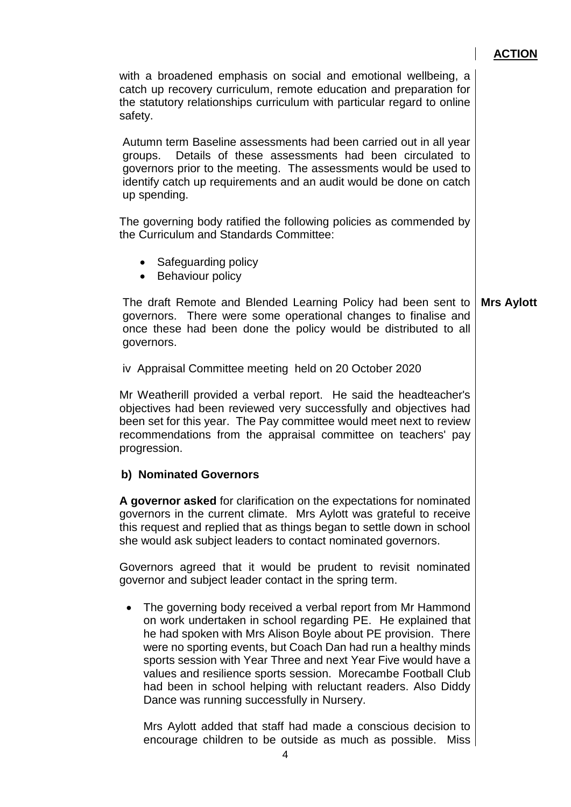$\overline{\phantom{a}}$ 

| with a broadened emphasis on social and emotional wellbeing, a<br>catch up recovery curriculum, remote education and preparation for<br>the statutory relationships curriculum with particular regard to online<br>safety.                                                                                                                                                                                                                                                                                       |                   |
|------------------------------------------------------------------------------------------------------------------------------------------------------------------------------------------------------------------------------------------------------------------------------------------------------------------------------------------------------------------------------------------------------------------------------------------------------------------------------------------------------------------|-------------------|
| Autumn term Baseline assessments had been carried out in all year<br>Details of these assessments had been circulated to<br>groups.<br>governors prior to the meeting. The assessments would be used to<br>identify catch up requirements and an audit would be done on catch<br>up spending.                                                                                                                                                                                                                    |                   |
| The governing body ratified the following policies as commended by<br>the Curriculum and Standards Committee:                                                                                                                                                                                                                                                                                                                                                                                                    |                   |
| • Safeguarding policy<br>• Behaviour policy                                                                                                                                                                                                                                                                                                                                                                                                                                                                      |                   |
| The draft Remote and Blended Learning Policy had been sent to<br>governors. There were some operational changes to finalise and<br>once these had been done the policy would be distributed to all<br>governors.                                                                                                                                                                                                                                                                                                 | <b>Mrs Aylott</b> |
| iv Appraisal Committee meeting held on 20 October 2020                                                                                                                                                                                                                                                                                                                                                                                                                                                           |                   |
| Mr Weatherill provided a verbal report. He said the headteacher's<br>objectives had been reviewed very successfully and objectives had<br>been set for this year. The Pay committee would meet next to review<br>recommendations from the appraisal committee on teachers' pay<br>progression.                                                                                                                                                                                                                   |                   |
| b) Nominated Governors                                                                                                                                                                                                                                                                                                                                                                                                                                                                                           |                   |
| A governor asked for clarification on the expectations for nominated<br>governors in the current climate. Mrs Aylott was grateful to receive<br>this request and replied that as things began to settle down in school<br>she would ask subject leaders to contact nominated governors.                                                                                                                                                                                                                          |                   |
| Governors agreed that it would be prudent to revisit nominated<br>governor and subject leader contact in the spring term.                                                                                                                                                                                                                                                                                                                                                                                        |                   |
| The governing body received a verbal report from Mr Hammond<br>on work undertaken in school regarding PE. He explained that<br>he had spoken with Mrs Alison Boyle about PE provision. There<br>were no sporting events, but Coach Dan had run a healthy minds<br>sports session with Year Three and next Year Five would have a<br>values and resilience sports session. Morecambe Football Club<br>had been in school helping with reluctant readers. Also Diddy<br>Dance was running successfully in Nursery. |                   |
| Mrs Aylott added that staff had made a conscious decision to<br>encourage children to be outside as much as possible.<br><b>Miss</b>                                                                                                                                                                                                                                                                                                                                                                             |                   |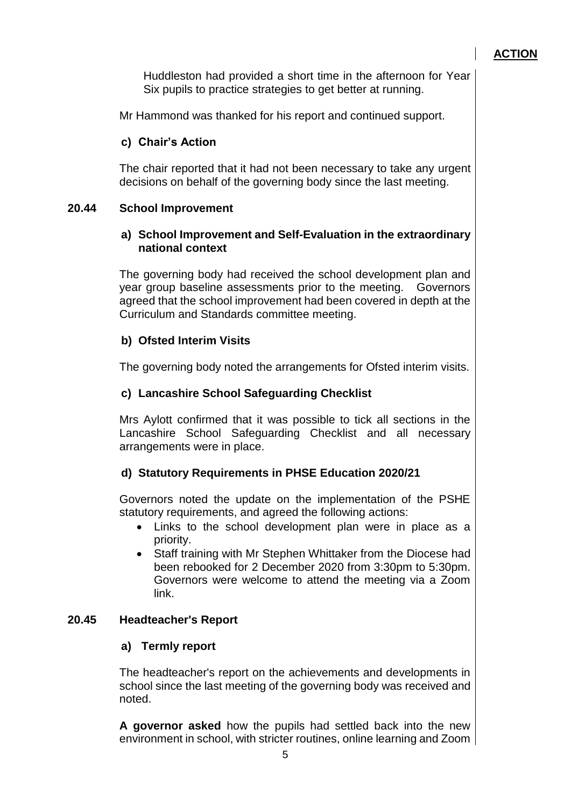Huddleston had provided a short time in the afternoon for Year Six pupils to practice strategies to get better at running.

Mr Hammond was thanked for his report and continued support.

## **c) Chair's Action**

The chair reported that it had not been necessary to take any urgent decisions on behalf of the governing body since the last meeting.

## **20.44 School Improvement**

#### **a) School Improvement and Self-Evaluation in the extraordinary national context**

The governing body had received the school development plan and year group baseline assessments prior to the meeting. Governors agreed that the school improvement had been covered in depth at the Curriculum and Standards committee meeting.

## **b) Ofsted Interim Visits**

The governing body noted the arrangements for Ofsted interim visits.

## **c) Lancashire School Safeguarding Checklist**

Mrs Aylott confirmed that it was possible to tick all sections in the Lancashire School Safeguarding Checklist and all necessary arrangements were in place.

## **d) Statutory Requirements in PHSE Education 2020/21**

Governors noted the update on the implementation of the PSHE statutory requirements, and agreed the following actions:

- Links to the school development plan were in place as a priority.
- Staff training with Mr Stephen Whittaker from the Diocese had been rebooked for 2 December 2020 from 3:30pm to 5:30pm. Governors were welcome to attend the meeting via a Zoom link.

## **20.45 Headteacher's Report**

## **a) Termly report**

The headteacher's report on the achievements and developments in school since the last meeting of the governing body was received and noted.

**A governor asked** how the pupils had settled back into the new environment in school, with stricter routines, online learning and Zoom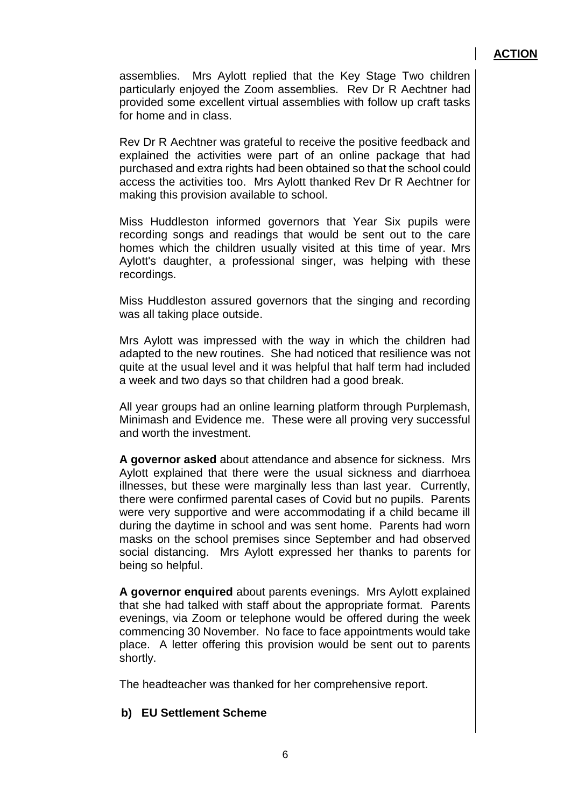assemblies. Mrs Aylott replied that the Key Stage Two children particularly enjoyed the Zoom assemblies. Rev Dr R Aechtner had provided some excellent virtual assemblies with follow up craft tasks for home and in class.

Rev Dr R Aechtner was grateful to receive the positive feedback and explained the activities were part of an online package that had purchased and extra rights had been obtained so that the school could access the activities too. Mrs Aylott thanked Rev Dr R Aechtner for making this provision available to school.

Miss Huddleston informed governors that Year Six pupils were recording songs and readings that would be sent out to the care homes which the children usually visited at this time of year. Mrs Aylott's daughter, a professional singer, was helping with these recordings.

Miss Huddleston assured governors that the singing and recording was all taking place outside.

Mrs Aylott was impressed with the way in which the children had adapted to the new routines. She had noticed that resilience was not quite at the usual level and it was helpful that half term had included a week and two days so that children had a good break.

All year groups had an online learning platform through Purplemash, Minimash and Evidence me. These were all proving very successful and worth the investment.

**A governor asked** about attendance and absence for sickness. Mrs Aylott explained that there were the usual sickness and diarrhoea illnesses, but these were marginally less than last year. Currently, there were confirmed parental cases of Covid but no pupils. Parents were very supportive and were accommodating if a child became ill during the daytime in school and was sent home. Parents had worn masks on the school premises since September and had observed social distancing. Mrs Aylott expressed her thanks to parents for being so helpful.

**A governor enquired** about parents evenings. Mrs Aylott explained that she had talked with staff about the appropriate format. Parents evenings, via Zoom or telephone would be offered during the week commencing 30 November. No face to face appointments would take place. A letter offering this provision would be sent out to parents shortly.

The headteacher was thanked for her comprehensive report.

#### **b) EU Settlement Scheme**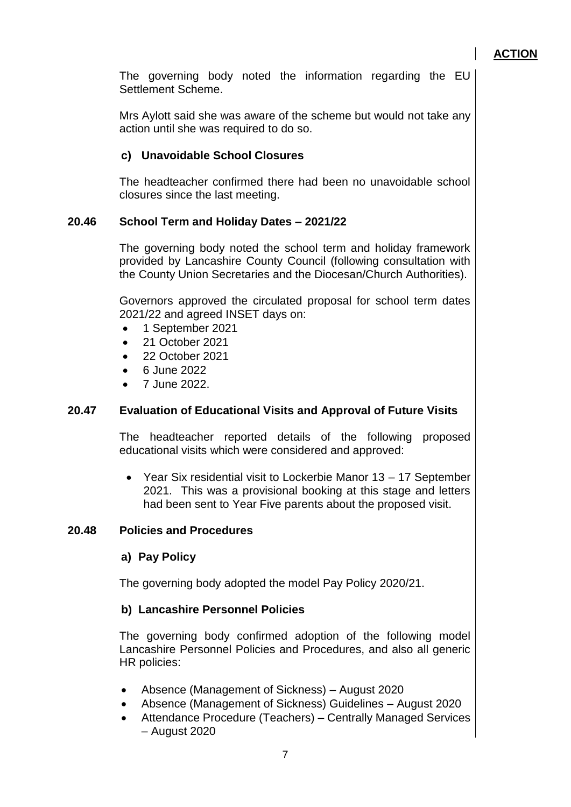The governing body noted the information regarding the EU Settlement Scheme.

Mrs Aylott said she was aware of the scheme but would not take any action until she was required to do so.

## **c) Unavoidable School Closures**

The headteacher confirmed there had been no unavoidable school closures since the last meeting.

## **20.46 School Term and Holiday Dates – 2021/22**

The governing body noted the school term and holiday framework provided by Lancashire County Council (following consultation with the County Union Secretaries and the Diocesan/Church Authorities).

Governors approved the circulated proposal for school term dates 2021/22 and agreed INSET days on:

- 1 September 2021
- 21 October 2021
- 22 October 2021
- 6 June 2022
- 7 June 2022.

## **20.47 Evaluation of Educational Visits and Approval of Future Visits**

The headteacher reported details of the following proposed educational visits which were considered and approved:

 Year Six residential visit to Lockerbie Manor 13 – 17 September 2021. This was a provisional booking at this stage and letters had been sent to Year Five parents about the proposed visit.

#### **20.48 Policies and Procedures**

#### **a) Pay Policy**

The governing body adopted the model Pay Policy 2020/21.

#### **b) Lancashire Personnel Policies**

The governing body confirmed adoption of the following model Lancashire Personnel Policies and Procedures, and also all generic HR policies:

- Absence (Management of Sickness) August 2020
- Absence (Management of Sickness) Guidelines August 2020
- Attendance Procedure (Teachers) Centrally Managed Services – August 2020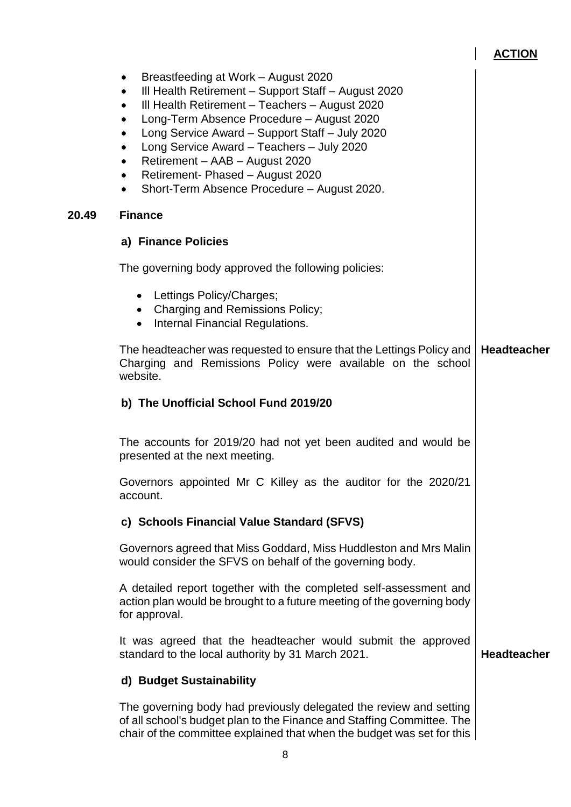$\begin{array}{c} \hline \end{array}$ 

|       | Breastfeeding at Work - August 2020<br>$\bullet$<br>III Health Retirement - Support Staff - August 2020<br>$\bullet$<br>III Health Retirement - Teachers - August 2020<br>$\bullet$<br>Long-Term Absence Procedure - August 2020<br>$\bullet$<br>Long Service Award - Support Staff - July 2020<br>$\bullet$<br>Long Service Award - Teachers - July 2020<br>$\bullet$<br>Retirement - AAB - August 2020<br>$\bullet$<br>Retirement- Phased - August 2020<br>$\bullet$<br>Short-Term Absence Procedure - August 2020. |                    |
|-------|-----------------------------------------------------------------------------------------------------------------------------------------------------------------------------------------------------------------------------------------------------------------------------------------------------------------------------------------------------------------------------------------------------------------------------------------------------------------------------------------------------------------------|--------------------|
| 20.49 | <b>Finance</b>                                                                                                                                                                                                                                                                                                                                                                                                                                                                                                        |                    |
|       | a) Finance Policies                                                                                                                                                                                                                                                                                                                                                                                                                                                                                                   |                    |
|       | The governing body approved the following policies:                                                                                                                                                                                                                                                                                                                                                                                                                                                                   |                    |
|       | • Lettings Policy/Charges;<br>• Charging and Remissions Policy;<br>Internal Financial Regulations.<br>$\bullet$                                                                                                                                                                                                                                                                                                                                                                                                       |                    |
|       | The headteacher was requested to ensure that the Lettings Policy and<br>Charging and Remissions Policy were available on the school<br>website.                                                                                                                                                                                                                                                                                                                                                                       | <b>Headteacher</b> |
|       | b) The Unofficial School Fund 2019/20                                                                                                                                                                                                                                                                                                                                                                                                                                                                                 |                    |
|       | The accounts for 2019/20 had not yet been audited and would be<br>presented at the next meeting.                                                                                                                                                                                                                                                                                                                                                                                                                      |                    |
|       | Governors appointed Mr C Killey as the auditor for the 2020/21<br>account.                                                                                                                                                                                                                                                                                                                                                                                                                                            |                    |
|       | c) Schools Financial Value Standard (SFVS)                                                                                                                                                                                                                                                                                                                                                                                                                                                                            |                    |
|       | Governors agreed that Miss Goddard, Miss Huddleston and Mrs Malin<br>would consider the SFVS on behalf of the governing body.                                                                                                                                                                                                                                                                                                                                                                                         |                    |
|       | A detailed report together with the completed self-assessment and<br>action plan would be brought to a future meeting of the governing body<br>for approval.                                                                                                                                                                                                                                                                                                                                                          |                    |
|       | It was agreed that the headteacher would submit the approved<br>standard to the local authority by 31 March 2021.                                                                                                                                                                                                                                                                                                                                                                                                     | <b>Headteacher</b> |
|       | d) Budget Sustainability                                                                                                                                                                                                                                                                                                                                                                                                                                                                                              |                    |
|       | The governing body had previously delegated the review and setting<br>of all school's budget plan to the Finance and Staffing Committee. The<br>chair of the committee explained that when the budget was set for this                                                                                                                                                                                                                                                                                                |                    |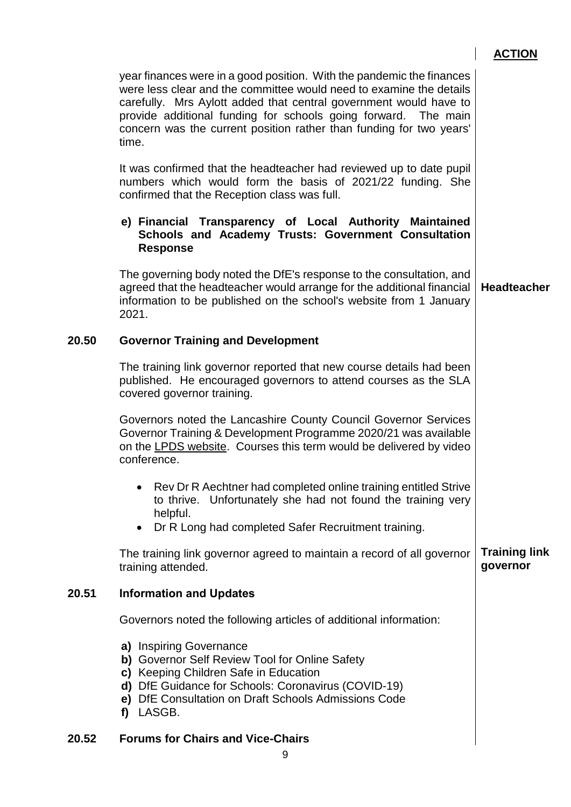|       |                                                                                                                                                                                                                                                                                                                                                                     | <b>ACTION</b>        |
|-------|---------------------------------------------------------------------------------------------------------------------------------------------------------------------------------------------------------------------------------------------------------------------------------------------------------------------------------------------------------------------|----------------------|
|       | year finances were in a good position. With the pandemic the finances<br>were less clear and the committee would need to examine the details<br>carefully. Mrs Aylott added that central government would have to<br>provide additional funding for schools going forward. The main<br>concern was the current position rather than funding for two years'<br>time. |                      |
|       | It was confirmed that the headteacher had reviewed up to date pupil<br>numbers which would form the basis of 2021/22 funding. She<br>confirmed that the Reception class was full.                                                                                                                                                                                   |                      |
|       | e) Financial Transparency of Local Authority Maintained<br>Schools and Academy Trusts: Government Consultation<br><b>Response</b>                                                                                                                                                                                                                                   |                      |
|       | The governing body noted the DfE's response to the consultation, and<br>agreed that the headteacher would arrange for the additional financial<br>information to be published on the school's website from 1 January<br>2021.                                                                                                                                       | <b>Headteacher</b>   |
| 20.50 | <b>Governor Training and Development</b>                                                                                                                                                                                                                                                                                                                            |                      |
|       | The training link governor reported that new course details had been<br>published. He encouraged governors to attend courses as the SLA<br>covered governor training.                                                                                                                                                                                               |                      |
|       | Governors noted the Lancashire County Council Governor Services<br>Governor Training & Development Programme 2020/21 was available<br>on the LPDS website. Courses this term would be delivered by video<br>conference.                                                                                                                                             |                      |
|       | Rev Dr R Aechtner had completed online training entitled Strive<br>to thrive. Unfortunately she had not found the training very<br>helpful.<br>Dr R Long had completed Safer Recruitment training.<br>$\bullet$                                                                                                                                                     |                      |
|       | The training link governor agreed to maintain a record of all governor                                                                                                                                                                                                                                                                                              | <b>Training link</b> |
|       | training attended.                                                                                                                                                                                                                                                                                                                                                  | governor             |
| 20.51 | <b>Information and Updates</b>                                                                                                                                                                                                                                                                                                                                      |                      |
|       | Governors noted the following articles of additional information:                                                                                                                                                                                                                                                                                                   |                      |
|       | a) Inspiring Governance<br>b) Governor Self Review Tool for Online Safety<br>c) Keeping Children Safe in Education<br>d) DfE Guidance for Schools: Coronavirus (COVID-19)<br>e) DfE Consultation on Draft Schools Admissions Code<br>LASGB.<br>f)                                                                                                                   |                      |
| 20.52 | <b>Forums for Chairs and Vice-Chairs</b>                                                                                                                                                                                                                                                                                                                            |                      |
|       |                                                                                                                                                                                                                                                                                                                                                                     |                      |

9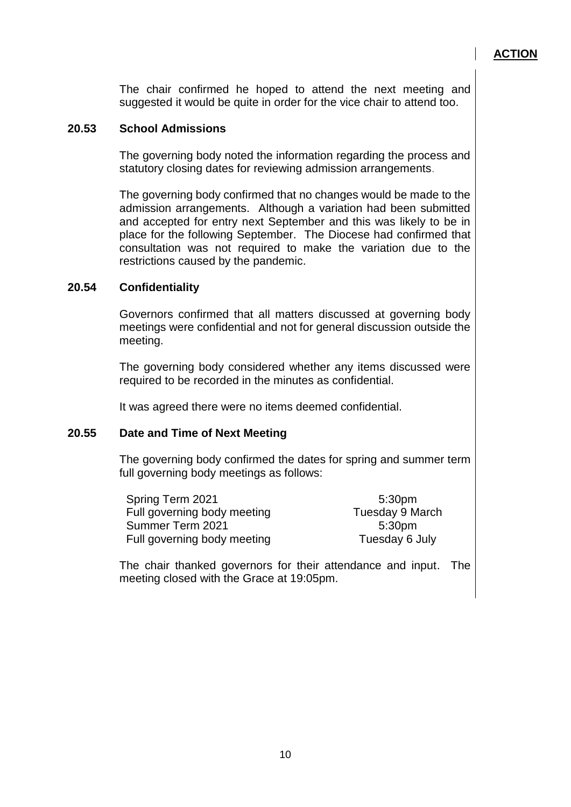The chair confirmed he hoped to attend the next meeting and suggested it would be quite in order for the vice chair to attend too.

#### **20.53 School Admissions**

The governing body noted the information regarding the process and statutory closing dates for reviewing admission arrangements.

The governing body confirmed that no changes would be made to the admission arrangements. Although a variation had been submitted and accepted for entry next September and this was likely to be in place for the following September. The Diocese had confirmed that consultation was not required to make the variation due to the restrictions caused by the pandemic.

#### **20.54 Confidentiality**

Governors confirmed that all matters discussed at governing body meetings were confidential and not for general discussion outside the meeting.

The governing body considered whether any items discussed were required to be recorded in the minutes as confidential.

It was agreed there were no items deemed confidential.

#### **20.55 Date and Time of Next Meeting**

The governing body confirmed the dates for spring and summer term full governing body meetings as follows:

| Spring Term 2021            | 5:30pm          |
|-----------------------------|-----------------|
| Full governing body meeting | Tuesday 9 March |
| Summer Term 2021            | 5:30pm          |
| Full governing body meeting | Tuesday 6 July  |

The chair thanked governors for their attendance and input. The meeting closed with the Grace at 19:05pm.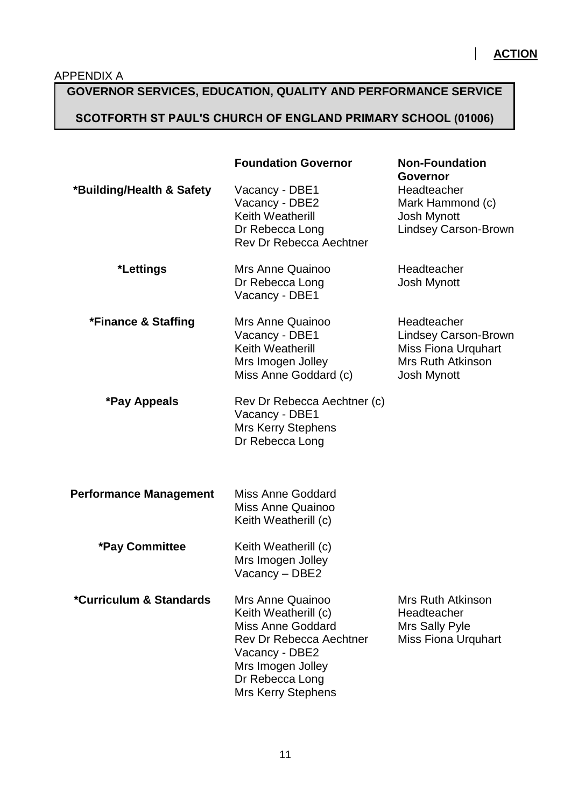$\overline{\phantom{a}}$ 

## **GOVERNOR SERVICES, EDUCATION, QUALITY AND PERFORMANCE SERVICE**

## **SCOTFORTH ST PAUL'S CHURCH OF ENGLAND PRIMARY SCHOOL (01006)**

|                               | <b>Foundation Governor</b>                                                                                                                                                             | <b>Non-Foundation</b><br><b>Governor</b>                                                                            |
|-------------------------------|----------------------------------------------------------------------------------------------------------------------------------------------------------------------------------------|---------------------------------------------------------------------------------------------------------------------|
| *Building/Health & Safety     | Vacancy - DBE1<br>Vacancy - DBE2<br>Keith Weatherill<br>Dr Rebecca Long<br><b>Rev Dr Rebecca Aechtner</b>                                                                              | Headteacher<br>Mark Hammond (c)<br><b>Josh Mynott</b><br><b>Lindsey Carson-Brown</b>                                |
| *Lettings                     | Mrs Anne Quainoo<br>Dr Rebecca Long<br>Vacancy - DBE1                                                                                                                                  | Headteacher<br>Josh Mynott                                                                                          |
| *Finance & Staffing           | <b>Mrs Anne Quainoo</b><br>Vacancy - DBE1<br>Keith Weatherill<br>Mrs Imogen Jolley<br>Miss Anne Goddard (c)                                                                            | Headteacher<br><b>Lindsey Carson-Brown</b><br>Miss Fiona Urquhart<br><b>Mrs Ruth Atkinson</b><br><b>Josh Mynott</b> |
| *Pay Appeals                  | Rev Dr Rebecca Aechtner (c)<br>Vacancy - DBE1<br><b>Mrs Kerry Stephens</b><br>Dr Rebecca Long                                                                                          |                                                                                                                     |
| <b>Performance Management</b> | <b>Miss Anne Goddard</b><br>Miss Anne Quainoo<br>Keith Weatherill (c)                                                                                                                  |                                                                                                                     |
| <b>*Pay Committee</b>         | Keith Weatherill (c)<br>Mrs Imogen Jolley<br>Vacancy - DBE2                                                                                                                            |                                                                                                                     |
| *Curriculum & Standards       | Mrs Anne Quainoo<br>Keith Weatherill (c)<br><b>Miss Anne Goddard</b><br>Rev Dr Rebecca Aechtner<br>Vacancy - DBE2<br>Mrs Imogen Jolley<br>Dr Rebecca Long<br><b>Mrs Kerry Stephens</b> | Mrs Ruth Atkinson<br>Headteacher<br>Mrs Sally Pyle<br><b>Miss Fiona Urquhart</b>                                    |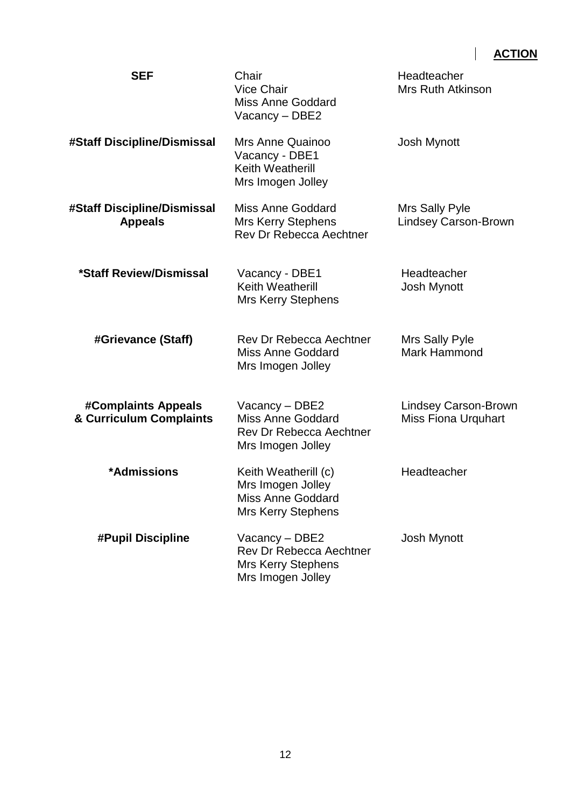$\begin{array}{c} \hline \end{array}$ 

| <b>SEF</b>                                     | Chair<br><b>Vice Chair</b><br>Miss Anne Goddard<br>Vacancy – DBE2                                  | Headteacher<br><b>Mrs Ruth Atkinson</b>                   |
|------------------------------------------------|----------------------------------------------------------------------------------------------------|-----------------------------------------------------------|
| #Staff Discipline/Dismissal                    | Mrs Anne Quainoo<br>Vacancy - DBE1<br>Keith Weatherill<br>Mrs Imogen Jolley                        | <b>Josh Mynott</b>                                        |
| #Staff Discipline/Dismissal<br><b>Appeals</b>  | <b>Miss Anne Goddard</b><br>Mrs Kerry Stephens<br><b>Rev Dr Rebecca Aechtner</b>                   | Mrs Sally Pyle<br><b>Lindsey Carson-Brown</b>             |
| *Staff Review/Dismissal                        | Vacancy - DBE1<br>Keith Weatherill<br><b>Mrs Kerry Stephens</b>                                    | Headteacher<br>Josh Mynott                                |
| #Grievance (Staff)                             | <b>Rev Dr Rebecca Aechtner</b><br><b>Miss Anne Goddard</b><br>Mrs Imogen Jolley                    | Mrs Sally Pyle<br><b>Mark Hammond</b>                     |
| #Complaints Appeals<br>& Curriculum Complaints | Vacancy - DBE2<br><b>Miss Anne Goddard</b><br><b>Rev Dr Rebecca Aechtner</b><br>Mrs Imogen Jolley  | <b>Lindsey Carson-Brown</b><br><b>Miss Fiona Urquhart</b> |
| *Admissions                                    | Keith Weatherill (c)<br>Mrs Imogen Jolley<br><b>Miss Anne Goddard</b><br><b>Mrs Kerry Stephens</b> | Headteacher                                               |
| #Pupil Discipline                              | Vacancy - DBE2<br>Rev Dr Rebecca Aechtner<br><b>Mrs Kerry Stephens</b><br>Mrs Imogen Jolley        | Josh Mynott                                               |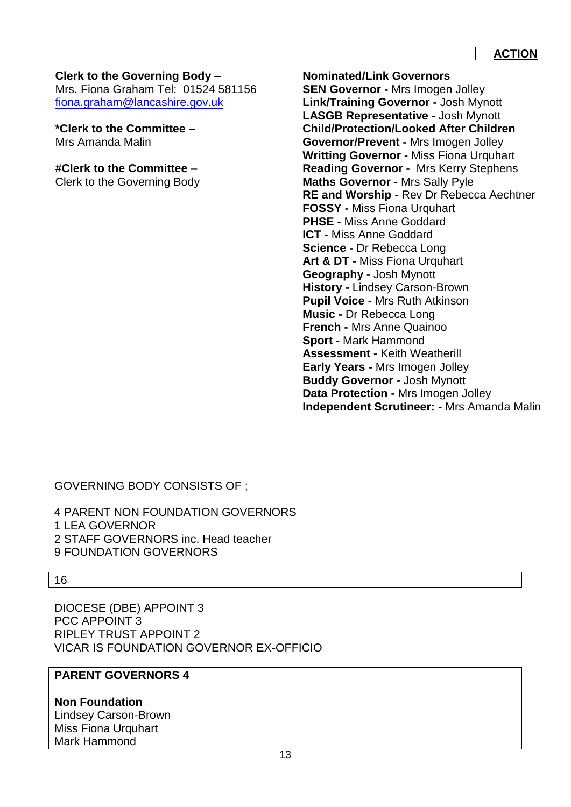#### **Clerk to the Governing Body –**

Mrs. Fiona Graham Tel: 01524 581156 [fiona.graham@lancashire.gov.uk](mailto:fiona.graham@lancashire.gov.uk)

**\*Clerk to the Committee –** Mrs Amanda Malin

**#Clerk to the Committee –**

Clerk to the Governing Body

**Nominated/Link Governors SEN Governor -** Mrs Imogen Jolley **Link/Training Governor -** Josh Mynott **LASGB Representative -** Josh Mynott **Child/Protection/Looked After Children Governor/Prevent -** Mrs Imogen Jolley **Writting Governor -** Miss Fiona Urquhart **Reading Governor -** Mrs Kerry Stephens **Maths Governor -** Mrs Sally Pyle **RE and Worship -** Rev Dr Rebecca Aechtner **FOSSY -** Miss Fiona Urquhart **PHSE -** Miss Anne Goddard **ICT -** Miss Anne Goddard **Science -** Dr Rebecca Long **Art & DT -** Miss Fiona Urquhart **Geography -** Josh Mynott **History -** Lindsey Carson-Brown **Pupil Voice -** Mrs Ruth Atkinson **Music -** Dr Rebecca Long **French -** Mrs Anne Quainoo **Sport -** Mark Hammond **Assessment -** Keith Weatherill **Early Years -** Mrs Imogen Jolley **Buddy Governor -** Josh Mynott **Data Protection -** Mrs Imogen Jolley **Independent Scrutineer: -** Mrs Amanda Malin

GOVERNING BODY CONSISTS OF ;

4 PARENT NON FOUNDATION GOVERNORS 1 LEA GOVERNOR 2 STAFF GOVERNORS inc. Head teacher 9 FOUNDATION GOVERNORS

16

DIOCESE (DBE) APPOINT 3 PCC APPOINT 3 RIPLEY TRUST APPOINT 2 VICAR IS FOUNDATION GOVERNOR EX-OFFICIO

## **PARENT GOVERNORS 4**

**Non Foundation**  Lindsey Carson-Brown Miss Fiona Urquhart Mark Hammond